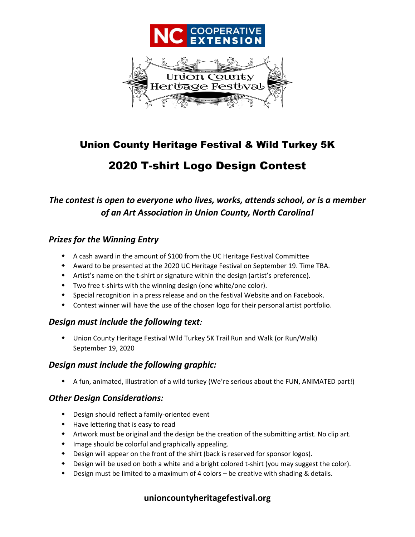

## Union County Heritage Festival & Wild Turkey 5K

# 2020 T-shirt Logo Design Contest

## *The contest is open to everyone who lives, works, attends school, or is a member of an Art Association in Union County, North Carolina!*

#### *Prizes for the Winning Entry*

- A cash award in the amount of \$100 from the UC Heritage Festival Committee
- Award to be presented at the 2020 UC Heritage Festival on September 19. Time TBA.
- Artist's name on the t-shirt or signature within the design (artist's preference).
- Two free t-shirts with the winning design (one white/one color).
- Special recognition in a press release and on the festival Website and on Facebook.
- Contest winner will have the use of the chosen logo for their personal artist portfolio.

#### *Design must include the following text:*

 Union County Heritage Festival Wild Turkey 5K Trail Run and Walk (or Run/Walk) September 19, 2020

### *Design must include the following graphic:*

A fun, animated, illustration of a wild turkey (We're serious about the FUN, ANIMATED part!)

#### *Other Design Considerations:*

- Design should reflect a family-oriented event
- Have lettering that is easy to read
- Artwork must be original and the design be the creation of the submitting artist. No clip art.
- Image should be colorful and graphically appealing.
- Design will appear on the front of the shirt (back is reserved for sponsor logos).
- Design will be used on both a white and a bright colored t-shirt (you may suggest the color).
- Design must be limited to a maximum of 4 colors be creative with shading & details.

### **unioncountyheritagefestival.org**